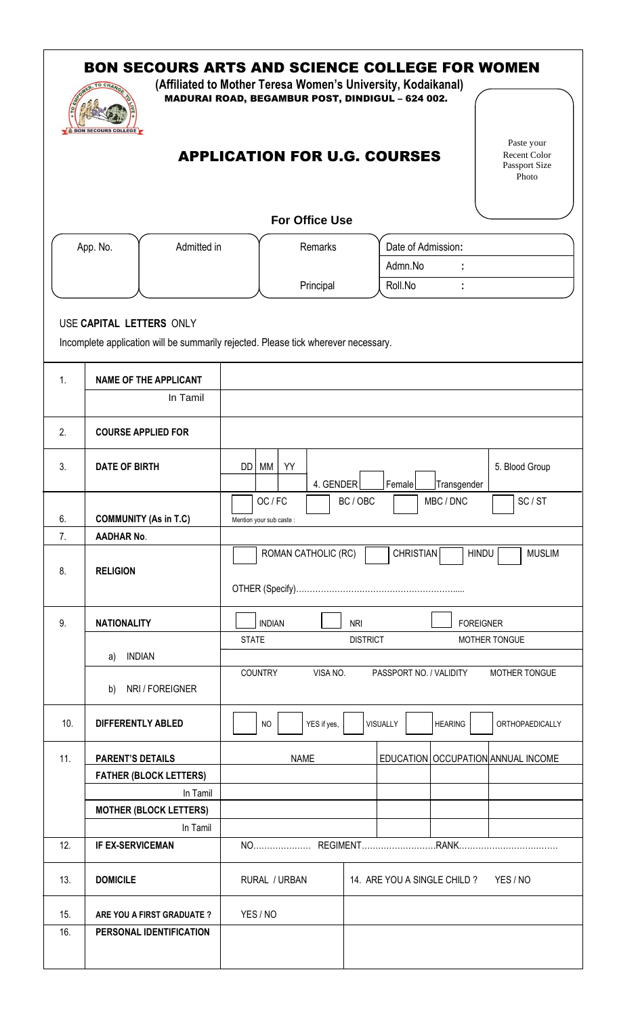|                | <b>TO CH</b><br><b>BON SECOURS COLLEGE</b>               | <b>BON SECOURS ARTS AND SCIENCE COLLEGE FOR WOMEN</b><br>(Affiliated to Mother Teresa Women's University, Kodaikanal)<br>MADURAI ROAD, BEGAMBUR POST, DINDIGUL - 624 002. |                                                                          |       |                       |                                          |                    |                                        |                         |  |                                                      |
|----------------|----------------------------------------------------------|---------------------------------------------------------------------------------------------------------------------------------------------------------------------------|--------------------------------------------------------------------------|-------|-----------------------|------------------------------------------|--------------------|----------------------------------------|-------------------------|--|------------------------------------------------------|
|                |                                                          |                                                                                                                                                                           | <b>APPLICATION FOR U.G. COURSES</b>                                      |       |                       |                                          |                    |                                        |                         |  | Paste your<br>Recent Color<br>Passport Size<br>Photo |
|                |                                                          |                                                                                                                                                                           |                                                                          |       | <b>For Office Use</b> |                                          |                    |                                        |                         |  |                                                      |
|                | App. No.<br>Admitted in                                  |                                                                                                                                                                           | Remarks                                                                  |       |                       |                                          | Date of Admission: |                                        |                         |  |                                                      |
|                |                                                          |                                                                                                                                                                           |                                                                          |       |                       |                                          | Admn.No            |                                        |                         |  |                                                      |
|                |                                                          |                                                                                                                                                                           |                                                                          |       | Principal             |                                          | Roll.No            |                                        |                         |  |                                                      |
| $\mathbf{1}$ . | USE CAPITAL LETTERS ONLY                                 | Incomplete application will be summarily rejected. Please tick wherever necessary.<br><b>NAME OF THE APPLICANT</b><br>In Tamil                                            |                                                                          |       |                       |                                          |                    |                                        |                         |  |                                                      |
| 2.             | <b>COURSE APPLIED FOR</b>                                |                                                                                                                                                                           |                                                                          |       |                       |                                          |                    |                                        |                         |  |                                                      |
| 3.             | <b>DATE OF BIRTH</b>                                     |                                                                                                                                                                           | MM<br>DD                                                                 | YY    | 4. GENDER             |                                          | Female             |                                        | Transgender             |  | 5. Blood Group                                       |
| 6.             | <b>COMMUNITY (As in T.C)</b>                             |                                                                                                                                                                           | Mention your sub caste :                                                 | OC/FC |                       | BC / OBC                                 |                    |                                        | MBC / DNC               |  | SC/ST                                                |
| 7.             | <b>AADHAR No.</b>                                        |                                                                                                                                                                           | <b>CHRISTIAN</b><br>ROMAN CATHOLIC (RC)<br><b>HINDU</b><br><b>MUSLIM</b> |       |                       |                                          |                    |                                        |                         |  |                                                      |
| 8.             | <b>RELIGION</b>                                          |                                                                                                                                                                           |                                                                          |       |                       |                                          |                    |                                        |                         |  |                                                      |
| 9.             | <b>NATIONALITY</b><br><b>INDIAN</b><br>a)                |                                                                                                                                                                           | <b>INDIAN</b><br><b>FOREIGNER</b><br><b>NRI</b>                          |       |                       |                                          |                    |                                        |                         |  |                                                      |
|                |                                                          |                                                                                                                                                                           | <b>STATE</b><br><b>DISTRICT</b><br>MOTHER TONGUE                         |       |                       |                                          |                    |                                        |                         |  |                                                      |
|                | b)                                                       | NRI / FOREIGNER                                                                                                                                                           | COUNTRY                                                                  |       | VISA NO.              |                                          |                    |                                        | PASSPORT NO. / VALIDITY |  | MOTHER TONGUE                                        |
| 10.            | <b>DIFFERENTLY ABLED</b>                                 |                                                                                                                                                                           | <b>NO</b>                                                                |       | YES if yes,           |                                          | VISUALLY           |                                        | <b>HEARING</b>          |  | ORTHOPAEDICALLY                                      |
| 11.            | <b>PARENT'S DETAILS</b><br><b>FATHER (BLOCK LETTERS)</b> |                                                                                                                                                                           | <b>NAME</b>                                                              |       |                       |                                          |                    | EDUCATION   OCCUPATION   ANNUAL INCOME |                         |  |                                                      |
|                |                                                          |                                                                                                                                                                           |                                                                          |       |                       |                                          |                    |                                        |                         |  |                                                      |
|                |                                                          | In Tamil                                                                                                                                                                  |                                                                          |       |                       |                                          |                    |                                        |                         |  |                                                      |
|                |                                                          | <b>MOTHER (BLOCK LETTERS)</b><br>In Tamil                                                                                                                                 |                                                                          |       |                       |                                          |                    |                                        |                         |  |                                                      |
| 12.            | <b>IF EX-SERVICEMAN</b>                                  |                                                                                                                                                                           |                                                                          |       |                       |                                          |                    |                                        |                         |  |                                                      |
| 13.            | <b>DOMICILE</b>                                          |                                                                                                                                                                           | RURAL / URBAN                                                            |       |                       | 14. ARE YOU A SINGLE CHILD ?<br>YES / NO |                    |                                        |                         |  |                                                      |
| 15.            |                                                          | ARE YOU A FIRST GRADUATE ?                                                                                                                                                | YES / NO                                                                 |       |                       |                                          |                    |                                        |                         |  |                                                      |
| 16.            |                                                          | PERSONAL IDENTIFICATION                                                                                                                                                   |                                                                          |       |                       |                                          |                    |                                        |                         |  |                                                      |
|                |                                                          |                                                                                                                                                                           |                                                                          |       |                       |                                          |                    |                                        |                         |  |                                                      |